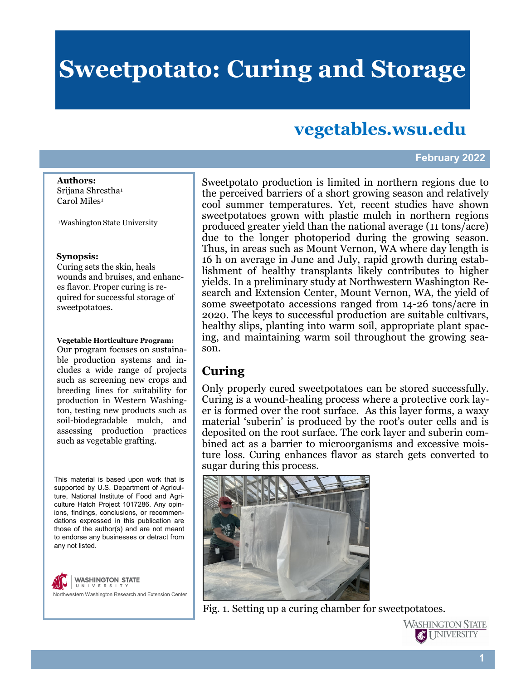# **Sweetpotato: Curing and Storage**

# **vegetables.wsu.edu**

#### **February 2022**

**Authors:**  Srijana Shrestha<sup>1</sup> Carol Miles<sup>1</sup>

<sup>1</sup>Washington State University

#### **Synopsis:**

Curing sets the skin, heals wounds and bruises, and enhances flavor. Proper curing is required for successful storage of sweetpotatoes.

**Vegetable Horticulture Program:**

Our program focuses on sustainable production systems and includes a wide range of projects such as screening new crops and breeding lines for suitability for production in Western Washington, testing new products such as soil-biodegradable mulch, and assessing production practices such as vegetable grafting.

This material is based upon work that is supported by U.S. Department of Agriculture, National Institute of Food and Agriculture Hatch Project 1017286. Any opinions, findings, conclusions, or recommendations expressed in this publication are those of the author(s) and are not meant to endorse any businesses or detract from any not listed.



Sweetpotato production is limited in northern regions due to the perceived barriers of a short growing season and relatively cool summer temperatures. Yet, recent studies have shown sweetpotatoes grown with plastic mulch in northern regions produced greater yield than the national average (11 tons/acre) due to the longer photoperiod during the growing season. Thus, in areas such as Mount Vernon, WA where day length is 16 h on average in June and July, rapid growth during establishment of healthy transplants likely contributes to higher yields. In a preliminary study at Northwestern Washington Research and Extension Center, Mount Vernon, WA, the yield of some sweetpotato accessions ranged from 14-26 tons/acre in 2020. The keys to successful production are suitable cultivars, healthy slips, planting into warm soil, appropriate plant spacing, and maintaining warm soil throughout the growing season.

## **Curing**

Only properly cured sweetpotatoes can be stored successfully. Curing is a wound-healing process where a protective cork layer is formed over the root surface. As this layer forms, a waxy material 'suberin' is produced by the root's outer cells and is deposited on the root surface. The cork layer and suberin combined act as a barrier to microorganisms and excessive moisture loss. Curing enhances flavor as starch gets converted to sugar during this process.



Fig. 1. Setting up a curing chamber for sweetpotatoes.